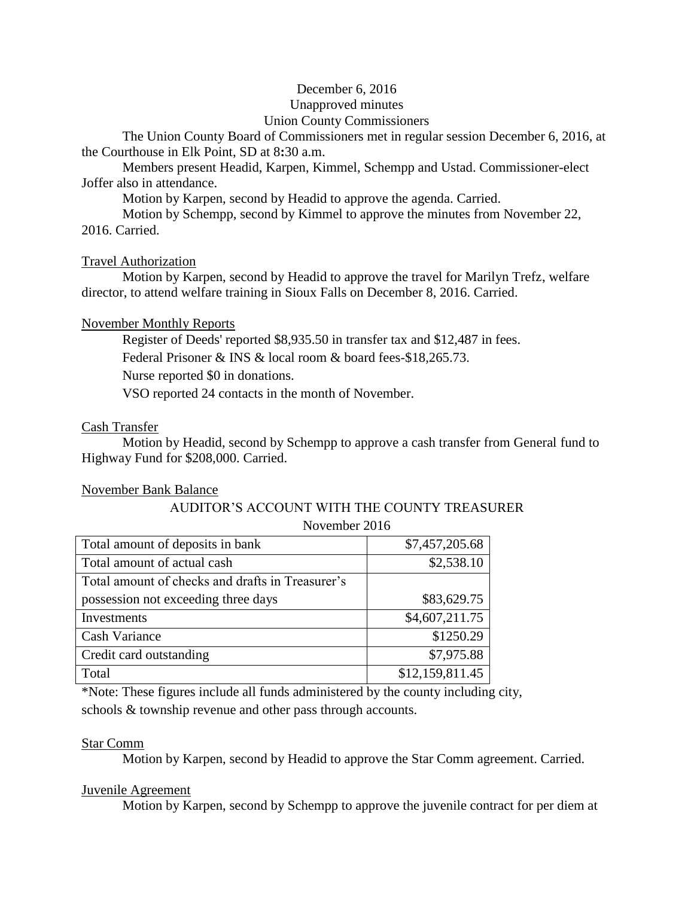# December 6, 2016

#### Unapproved minutes

### Union County Commissioners

The Union County Board of Commissioners met in regular session December 6, 2016, at the Courthouse in Elk Point, SD at 8**:**30 a.m.

Members present Headid, Karpen, Kimmel, Schempp and Ustad. Commissioner-elect Joffer also in attendance.

Motion by Karpen, second by Headid to approve the agenda. Carried.

Motion by Schempp, second by Kimmel to approve the minutes from November 22, 2016. Carried.

### Travel Authorization

Motion by Karpen, second by Headid to approve the travel for Marilyn Trefz, welfare director, to attend welfare training in Sioux Falls on December 8, 2016. Carried.

# November Monthly Reports

Register of Deeds' reported \$8,935.50 in transfer tax and \$12,487 in fees.

Federal Prisoner & INS & local room & board fees-\$18,265.73.

Nurse reported \$0 in donations.

VSO reported 24 contacts in the month of November.

# Cash Transfer

Motion by Headid, second by Schempp to approve a cash transfer from General fund to Highway Fund for \$208,000. Carried.

### November Bank Balance

#### AUDITOR'S ACCOUNT WITH THE COUNTY TREASURER November 2016

| <b>INUVULIIUUL ZUTU</b>                          |                 |
|--------------------------------------------------|-----------------|
| Total amount of deposits in bank                 | \$7,457,205.68  |
| Total amount of actual cash                      | \$2,538.10      |
| Total amount of checks and drafts in Treasurer's |                 |
| possession not exceeding three days              | \$83,629.75     |
| Investments                                      | \$4,607,211.75  |
| Cash Variance                                    | \$1250.29       |
| Credit card outstanding                          | \$7,975.88      |
| Total                                            | \$12,159,811.45 |

\*Note: These figures include all funds administered by the county including city, schools & township revenue and other pass through accounts.

### Star Comm

Motion by Karpen, second by Headid to approve the Star Comm agreement. Carried.

### Juvenile Agreement

Motion by Karpen, second by Schempp to approve the juvenile contract for per diem at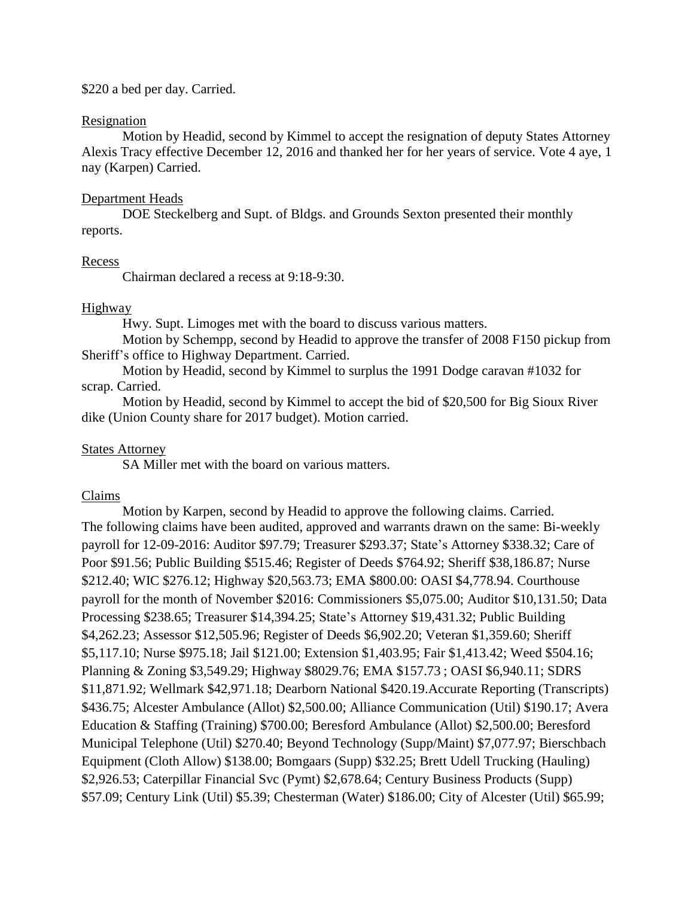### \$220 a bed per day. Carried.

#### Resignation

Motion by Headid, second by Kimmel to accept the resignation of deputy States Attorney Alexis Tracy effective December 12, 2016 and thanked her for her years of service. Vote 4 aye, 1 nay (Karpen) Carried.

#### Department Heads

DOE Steckelberg and Supt. of Bldgs. and Grounds Sexton presented their monthly reports.

#### **Recess**

Chairman declared a recess at 9:18-9:30.

#### Highway

Hwy. Supt. Limoges met with the board to discuss various matters.

Motion by Schempp, second by Headid to approve the transfer of 2008 F150 pickup from Sheriff's office to Highway Department. Carried.

Motion by Headid, second by Kimmel to surplus the 1991 Dodge caravan #1032 for scrap. Carried.

Motion by Headid, second by Kimmel to accept the bid of \$20,500 for Big Sioux River dike (Union County share for 2017 budget). Motion carried.

#### States Attorney

SA Miller met with the board on various matters.

#### Claims

Motion by Karpen, second by Headid to approve the following claims. Carried. The following claims have been audited, approved and warrants drawn on the same: Bi-weekly payroll for 12-09-2016: Auditor \$97.79; Treasurer \$293.37; State's Attorney \$338.32; Care of Poor \$91.56; Public Building \$515.46; Register of Deeds \$764.92; Sheriff \$38,186.87; Nurse \$212.40; WIC \$276.12; Highway \$20,563.73; EMA \$800.00: OASI \$4,778.94. Courthouse payroll for the month of November \$2016: Commissioners \$5,075.00; Auditor \$10,131.50; Data Processing \$238.65; Treasurer \$14,394.25; State's Attorney \$19,431.32; Public Building \$4,262.23; Assessor \$12,505.96; Register of Deeds \$6,902.20; Veteran \$1,359.60; Sheriff \$5,117.10; Nurse \$975.18; Jail \$121.00; Extension \$1,403.95; Fair \$1,413.42; Weed \$504.16; Planning & Zoning \$3,549.29; Highway \$8029.76; EMA \$157.73 ; OASI \$6,940.11; SDRS \$11,871.92; Wellmark \$42,971.18; Dearborn National \$420.19.Accurate Reporting (Transcripts) \$436.75; Alcester Ambulance (Allot) \$2,500.00; Alliance Communication (Util) \$190.17; Avera Education & Staffing (Training) \$700.00; Beresford Ambulance (Allot) \$2,500.00; Beresford Municipal Telephone (Util) \$270.40; Beyond Technology (Supp/Maint) \$7,077.97; Bierschbach Equipment (Cloth Allow) \$138.00; Bomgaars (Supp) \$32.25; Brett Udell Trucking (Hauling) \$2,926.53; Caterpillar Financial Svc (Pymt) \$2,678.64; Century Business Products (Supp) \$57.09; Century Link (Util) \$5.39; Chesterman (Water) \$186.00; City of Alcester (Util) \$65.99;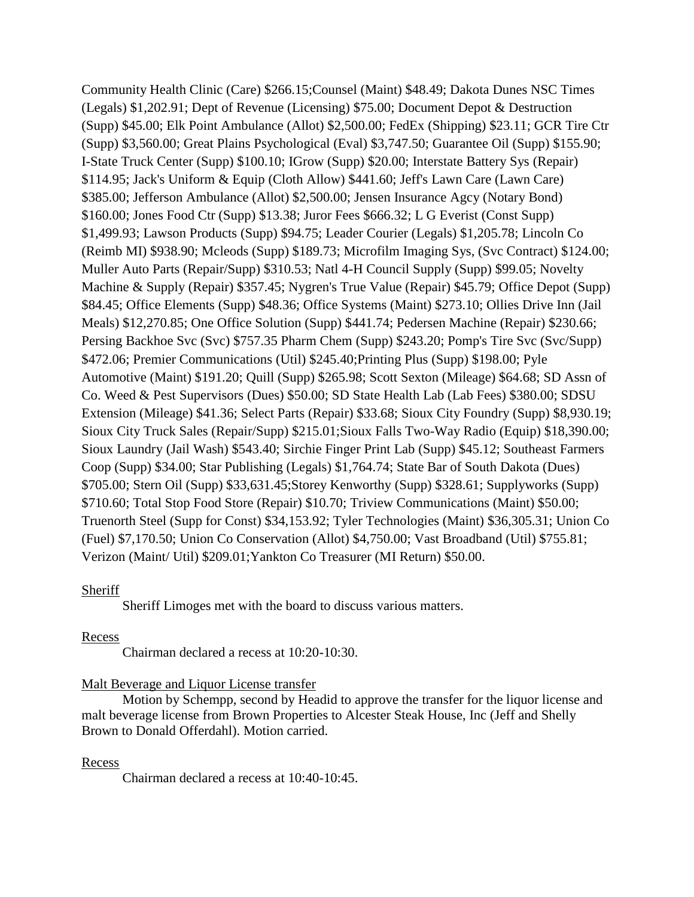Community Health Clinic (Care) \$266.15;Counsel (Maint) \$48.49; Dakota Dunes NSC Times (Legals) \$1,202.91; Dept of Revenue (Licensing) \$75.00; Document Depot & Destruction (Supp) \$45.00; Elk Point Ambulance (Allot) \$2,500.00; FedEx (Shipping) \$23.11; GCR Tire Ctr (Supp) \$3,560.00; Great Plains Psychological (Eval) \$3,747.50; Guarantee Oil (Supp) \$155.90; I-State Truck Center (Supp) \$100.10; IGrow (Supp) \$20.00; Interstate Battery Sys (Repair) \$114.95; Jack's Uniform & Equip (Cloth Allow) \$441.60; Jeff's Lawn Care (Lawn Care) \$385.00; Jefferson Ambulance (Allot) \$2,500.00; Jensen Insurance Agcy (Notary Bond) \$160.00; Jones Food Ctr (Supp) \$13.38; Juror Fees \$666.32; L G Everist (Const Supp) \$1,499.93; Lawson Products (Supp) \$94.75; Leader Courier (Legals) \$1,205.78; Lincoln Co (Reimb MI) \$938.90; Mcleods (Supp) \$189.73; Microfilm Imaging Sys, (Svc Contract) \$124.00; Muller Auto Parts (Repair/Supp) \$310.53; Natl 4-H Council Supply (Supp) \$99.05; Novelty Machine & Supply (Repair) \$357.45; Nygren's True Value (Repair) \$45.79; Office Depot (Supp) \$84.45; Office Elements (Supp) \$48.36; Office Systems (Maint) \$273.10; Ollies Drive Inn (Jail Meals) \$12,270.85; One Office Solution (Supp) \$441.74; Pedersen Machine (Repair) \$230.66; Persing Backhoe Svc (Svc) \$757.35 Pharm Chem (Supp) \$243.20; Pomp's Tire Svc (Svc/Supp) \$472.06; Premier Communications (Util) \$245.40;Printing Plus (Supp) \$198.00; Pyle Automotive (Maint) \$191.20; Quill (Supp) \$265.98; Scott Sexton (Mileage) \$64.68; SD Assn of Co. Weed & Pest Supervisors (Dues) \$50.00; SD State Health Lab (Lab Fees) \$380.00; SDSU Extension (Mileage) \$41.36; Select Parts (Repair) \$33.68; Sioux City Foundry (Supp) \$8,930.19; Sioux City Truck Sales (Repair/Supp) \$215.01;Sioux Falls Two-Way Radio (Equip) \$18,390.00; Sioux Laundry (Jail Wash) \$543.40; Sirchie Finger Print Lab (Supp) \$45.12; Southeast Farmers Coop (Supp) \$34.00; Star Publishing (Legals) \$1,764.74; State Bar of South Dakota (Dues) \$705.00; Stern Oil (Supp) \$33,631.45;Storey Kenworthy (Supp) \$328.61; Supplyworks (Supp) \$710.60; Total Stop Food Store (Repair) \$10.70; Triview Communications (Maint) \$50.00; Truenorth Steel (Supp for Const) \$34,153.92; Tyler Technologies (Maint) \$36,305.31; Union Co (Fuel) \$7,170.50; Union Co Conservation (Allot) \$4,750.00; Vast Broadband (Util) \$755.81; Verizon (Maint/ Util) \$209.01;Yankton Co Treasurer (MI Return) \$50.00.

### Sheriff

Sheriff Limoges met with the board to discuss various matters.

### Recess

Chairman declared a recess at 10:20-10:30.

### Malt Beverage and Liquor License transfer

Motion by Schempp, second by Headid to approve the transfer for the liquor license and malt beverage license from Brown Properties to Alcester Steak House, Inc (Jeff and Shelly Brown to Donald Offerdahl). Motion carried.

#### Recess

Chairman declared a recess at 10:40-10:45.